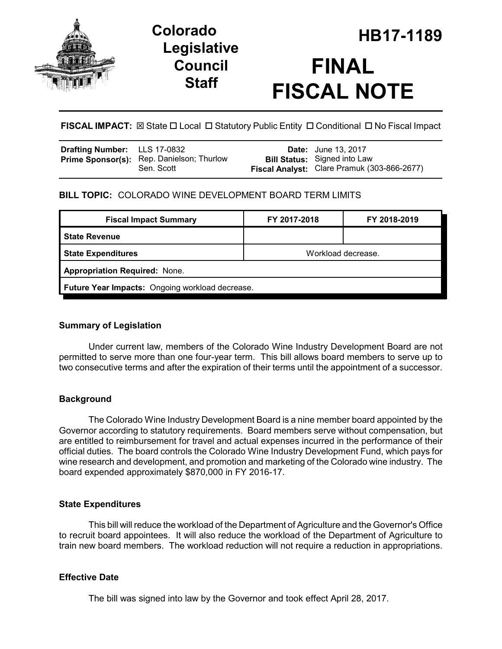

## **Legislative Council Staff**

# **HB17-1189 Colorado FINAL FISCAL NOTE**

**FISCAL IMPACT:** ⊠ State  $\Box$  Local  $\Box$  Statutory Public Entity  $\Box$  Conditional  $\Box$  No Fiscal Impact

| <b>Drafting Number:</b> LLS 17-0832 |                                                  | <b>Date:</b> June 13, 2017                  |
|-------------------------------------|--------------------------------------------------|---------------------------------------------|
|                                     | <b>Prime Sponsor(s):</b> Rep. Danielson; Thurlow | <b>Bill Status:</b> Signed into Law         |
|                                     | Sen. Scott                                       | Fiscal Analyst: Clare Pramuk (303-866-2677) |

#### **BILL TOPIC:** COLORADO WINE DEVELOPMENT BOARD TERM LIMITS

| FY 2017-2018                                    | FY 2018-2019 |  |  |  |
|-------------------------------------------------|--------------|--|--|--|
|                                                 |              |  |  |  |
| Workload decrease.                              |              |  |  |  |
| <b>Appropriation Required: None.</b>            |              |  |  |  |
| Future Year Impacts: Ongoing workload decrease. |              |  |  |  |
|                                                 |              |  |  |  |

#### **Summary of Legislation**

Under current law, members of the Colorado Wine Industry Development Board are not permitted to serve more than one four-year term. This bill allows board members to serve up to two consecutive terms and after the expiration of their terms until the appointment of a successor.

#### **Background**

The Colorado Wine Industry Development Board is a nine member board appointed by the Governor according to statutory requirements. Board members serve without compensation, but are entitled to reimbursement for travel and actual expenses incurred in the performance of their official duties. The board controls the Colorado Wine Industry Development Fund, which pays for wine research and development, and promotion and marketing of the Colorado wine industry. The board expended approximately \$870,000 in FY 2016-17.

#### **State Expenditures**

This bill will reduce the workload of the Department of Agriculture and the Governor's Office to recruit board appointees. It will also reduce the workload of the Department of Agriculture to train new board members. The workload reduction will not require a reduction in appropriations.

#### **Effective Date**

The bill was signed into law by the Governor and took effect April 28, 2017.